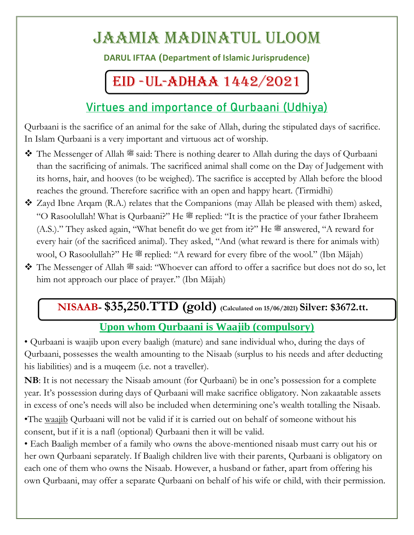# Jaamia Madinatul Uloom

**DARUL IFTAA (Department of Islamic Jurisprudence)**

# EID -UL-ADHAA 1442/2021

## **Virtues and importance of Qurbaani (Udhiya)**

Qurbaani is the sacrifice of an animal for the sake of Allah, during the stipulated days of sacrifice. In Islam Qurbaani is a very important and virtuous act of worship.

- $\bullet$  The Messenger of Allah  $\mathcal{F}$  said: There is nothing dearer to Allah during the days of Qurbaani than the sacrificing of animals. The sacrificed animal shall come on the Day of Judgement with its horns, hair, and hooves (to be weighed). The sacrifice is accepted by Allah before the blood reaches the ground. Therefore sacrifice with an open and happy heart. (Tirmidhi)
- $\clubsuit$  Zayd Ibne Arqam (R.A.) relates that the Companions (may Allah be pleased with them) asked, "O Rasoolullah! What is Qurbaani?" He  $\mathcal{L}$  replied: "It is the practice of your father Ibraheem  $(A.S.)$ ." They asked again, "What benefit do we get from it?" He  $\mathscr{E}$  answered, "A reward for every hair (of the sacrificed animal). They asked, "And (what reward is there for animals with) wool, O Rasoolullah?" He  $\mathscr{L}$  replied: "A reward for every fibre of the wool." (Ibn Mājah)
- The Messenger of Allah  $\mathscr{F}$  said: "Whoever can afford to offer a sacrifice but does not do so, let him not approach our place of prayer." (Ibn Mājah)

## **NISAAB- \$35,250.TTD (gold) (Calculated on 15/06/2021) Silver: \$3672.tt.**

## **Upon whom Qurbaani is Waajib (compulsory)**

• Qurbaani is waajib upon every baaligh (mature) and sane individual who, during the days of Qurbaani, possesses the wealth amounting to the Nisaab (surplus to his needs and after deducting his liabilities) and is a muqeem (i.e. not a traveller).

**NB**: It is not necessary the Nisaab amount (for Qurbaani) be in one's possession for a complete year. It's possession during days of Qurbaani will make sacrifice obligatory. Non zakaatable assets in excess of one's needs will also be included when determining one's wealth totalling the Nisaab.

•The waajib Qurbaani will not be valid if it is carried out on behalf of someone without his consent, but if it is a nafl (optional) Qurbaani then it will be valid.

• Each Baaligh member of a family who owns the above-mentioned nisaab must carry out his or her own Qurbaani separately. If Baaligh children live with their parents, Qurbaani is obligatory on each one of them who owns the Nisaab. However, a husband or father, apart from offering his own Qurbaani, may offer a separate Qurbaani on behalf of his wife or child, with their permission.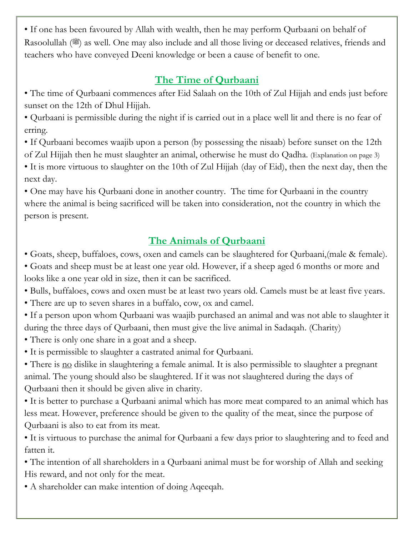• If one has been favoured by Allah with wealth, then he may perform Qurbaani on behalf of Rasoolullah ( $\mathcal{F}$ ) as well. One may also include and all those living or deceased relatives, friends and teachers who have conveyed Deeni knowledge or been a cause of benefit to one.

## **The Time of Qurbaani**

• The time of Qurbaani commences after Eid Salaah on the 10th of Zul Hijjah and ends just before sunset on the 12th of Dhul Hijjah.

• Qurbaani is permissible during the night if is carried out in a place well lit and there is no fear of erring.

• If Qurbaani becomes waajib upon a person (by possessing the nisaab) before sunset on the 12th of Zul Hijjah then he must slaughter an animal, otherwise he must do Qadha. (Explanation on page 3)

• It is more virtuous to slaughter on the 10th of Zul Hijjah (day of Eid), then the next day, then the next day.

• One may have his Qurbaani done in another country. The time for Qurbaani in the country where the animal is being sacrificed will be taken into consideration, not the country in which the person is present.

## **The Animals of Qurbaani**

• Goats, sheep, buffaloes, cows, oxen and camels can be slaughtered for Qurbaani,(male & female).

• Goats and sheep must be at least one year old. However, if a sheep aged 6 months or more and looks like a one year old in size, then it can be sacrificed.

• Bulls, buffaloes, cows and oxen must be at least two years old. Camels must be at least five years.

• There are up to seven shares in a buffalo, cow, ox and camel.

• If a person upon whom Qurbaani was waajib purchased an animal and was not able to slaughter it during the three days of Qurbaani, then must give the live animal in Sadaqah. (Charity)

• There is only one share in a goat and a sheep.

• It is permissible to slaughter a castrated animal for Qurbaani.

• There is no dislike in slaughtering a female animal. It is also permissible to slaughter a pregnant animal. The young should also be slaughtered. If it was not slaughtered during the days of Qurbaani then it should be given alive in charity.

• It is better to purchase a Qurbaani animal which has more meat compared to an animal which has less meat. However, preference should be given to the quality of the meat, since the purpose of Qurbaani is also to eat from its meat.

• It is virtuous to purchase the animal for Qurbaani a few days prior to slaughtering and to feed and fatten it.

• The intention of all shareholders in a Qurbaani animal must be for worship of Allah and seeking His reward, and not only for the meat.

• A shareholder can make intention of doing Aqeeqah.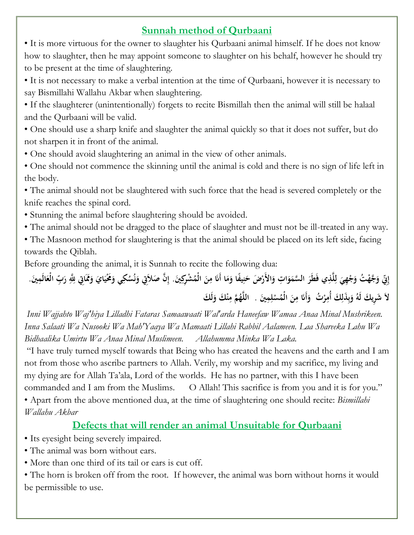#### **Sunnah method of Qurbaani**

• It is more virtuous for the owner to slaughter his Qurbaani animal himself. If he does not know how to slaughter, then he may appoint someone to slaughter on his behalf, however he should try to be present at the time of slaughtering.

• It is not necessary to make a verbal intention at the time of Qurbaani, however it is necessary to say Bismillahi Wallahu Akbar when slaughtering.

• If the slaughterer (unintentionally) forgets to recite Bismillah then the animal will still be halaal and the Qurbaani will be valid.

• One should use a sharp knife and slaughter the animal quickly so that it does not suffer, but do not sharpen it in front of the animal.

• One should avoid slaughtering an animal in the view of other animals.

• One should not commence the skinning until the animal is cold and there is no sign of life left in the body.

• The animal should not be slaughtered with such force that the head is severed completely or the knife reaches the spinal cord.

• Stunning the animal before slaughtering should be avoided.

• The animal should not be dragged to the place of slaughter and must not be ill-treated in any way.

• The Masnoon method for slaughtering is that the animal should be placed on its left side, facing towards the Qiblah.

Before grounding the animal, it is Sunnah to recite the following dua:

**ا َ** إِنِّ وَجَّهْتُ وَجْهِيَ لِلَّذِي فَطَرَ السَّمَوَاتِ وَالأَرْضَ حَنِيفًا وَمَا أَنَا مِنَ الْمُشْرِكِينَ. إِنَّ صَلاَتِي وَنُسُكِي وَعَّيَايَ وَمُمَاتِي لِلَّهِ رَبِّ الْعَالَمِينَ. **ا َ َ َ ِ ل َ ْ َ ِ َ ِ َ َ ِ َ َ َ َ ن َ َ** .<br>ام لاَ شَرِيكَ لَهُ وَبِذَلِكَ أُمِرْتُ ۖ وَأَنَا مِنَ الْمُسْلِمِينَ . ۖ اللَّهُمَّ مِنْكَ وَلَكَ **َ ِ ِ ْ َ ِ َ ِ ِ ِ ب َ**

*Inni Wajjahto Waj'hiya Lilladhi Fataras Samaawaati Wal'arda Haneefaw Wamaa Anaa Minal Mushrikeen. Inna Salaati Wa Nusooki Wa Mah'Yaaya Wa Mamaati Lillahi Rabbil Aalameen. Laa Shareeka Lahu Wa Bidhaalika Umirtu Wa Anaa Minal Muslimeen. Allahumma Minka Wa Laka.*

"I have truly turned myself towards that Being who has created the heavens and the earth and I am not from those who ascribe partners to Allah. Verily, my worship and my sacrifice, my living and my dying are for Allah Ta'ala, Lord of the worlds. He has no partner, with this I have been commanded and I am from the Muslims. O Allah! This sacrifice is from you and it is for you." • Apart from the above mentioned dua, at the time of slaughtering one should recite: *Bismillahi Wallahu Akbar*

#### **Defects that will render an animal Unsuitable for Qurbaani**

• Its eyesight being severely impaired.

• The animal was born without ears.

• More than one third of its tail or ears is cut off.

• The horn is broken off from the root. If however, the animal was born without horns it would be permissible to use.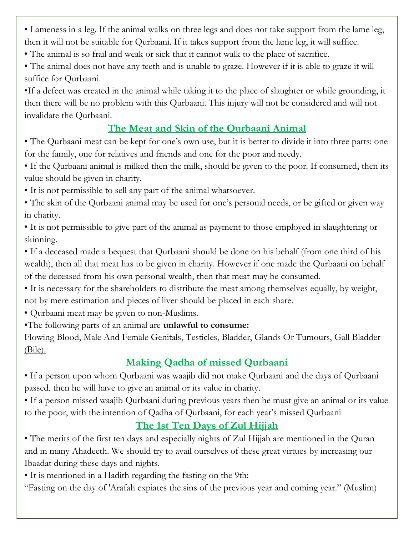• Lameness in a leg. If the animal walks on three legs and does not take support from the lame leg, then it will not be suitable for Qurbaani. If it takes support from the lame leg, it will suffice.

- The animal is so frail and weak or sick that it cannot walk to the place of sacrifice.
- The animal does not have any teeth and is unable to graze. However if it is able to graze it will suffice for Qurbaani.

•If a defect was created in the animal while taking it to the place of slaughter or while grounding, it then there will be no problem with this Qurbaani. This injury will not be considered and will not invalidate the Qurbaani.

## **The Meat and Skin of the Qurbaani Animal**

• The Qurbaani meat can be kept for one's own use, but it is better to divide it into three parts: one for the family, one for relatives and friends and one for the poor and needy.

• If the Qurbaani animal is milked then the milk, should be given to the poor. If consumed, then its value should be given in charity.

• It is not permissible to sell any part of the animal whatsoever.

- The skin of the Qurbaani animal may be used for one's personal needs, or be gifted or given way in charity.
- It is not permissible to give part of the animal as payment to those employed in slaughtering or skinning.

• If a deceased made a bequest that Qurbaani should be done on his behalf (from one third of his wealth), then all that meat has to be given in charity. However if one made the Qurbaani on behalf of the deceased from his own personal wealth, then that meat may be consumed.

• It is necessary for the shareholders to distribute the meat among themselves equally, by weight, not by mere estimation and pieces of liver should be placed in each share.

• Qurbaani meat may be given to non-Muslims.

•The following parts of an animal are **unlawful to consume:**

Flowing Blood, Male And Female Genitals, Testicles, Bladder, Glands Or Tumours, Gall Bladder (Bile).

## **Making Qadha of missed Qurbaani**

• If a person upon whom Qurbaani was waajib did not make Qurbaani and the days of Qurbaani passed, then he will have to give an animal or its value in charity.

• If a person missed waajib Qurbaani during previous years then he must give an animal or its value to the poor, with the intention of Qadha of Qurbaani, for each year's missed Qurbaani

## **The 1st Ten Days of Zul Hijjah**

• The merits of the first ten days and especially nights of Zul Hijjah are mentioned in the Quran and in many Ahadeeth. We should try to avail ourselves of these great virtues by increasing our Ibaadat during these days and nights.

• It is mentioned in a Hadith regarding the fasting on the 9th:

"Fasting on the day of 'Arafah expiates the sins of the previous year and coming year." (Muslim)